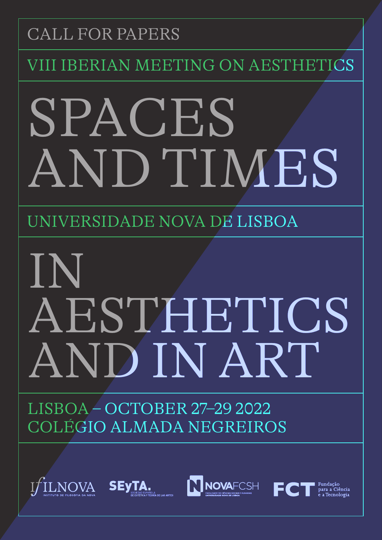### CALL FOR PAPERS

**I IBERIAN MEETING ON AESTH** 

# SPACES AND TIMES

UNIVERSIDADE NOVA DE LISBOA

## IN AESTHETICS AND IN ART

LISBOA – OCTOBER 27–29 2022 COLÉGIO ALMADA NEGREIROS

SEyTA. NOVA



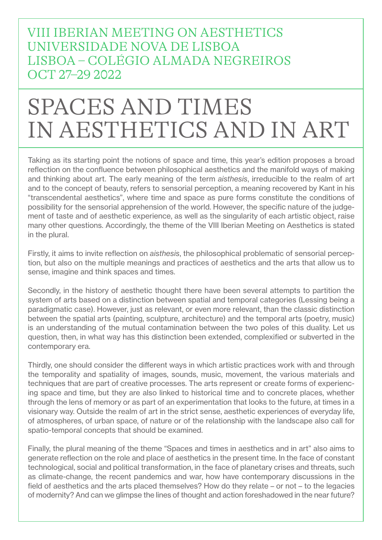VIII IBERIAN MEETING ON AESTHETICS UNIVERSIDADE NOVA DE LISBOA LISBOA – COLÉGIO ALMADA NEGREIROS OCT 27–29 2022

## SPACES AND TIMES IN AESTHETICS AND IN ART

Taking as its starting point the notions of space and time, this year's edition proposes a broad reflection on the confluence between philosophical aesthetics and the manifold ways of making and thinking about art. The early meaning of the term *aisthesis*, irreducible to the realm of art and to the concept of beauty, refers to sensorial perception, a meaning recovered by Kant in his "transcendental aesthetics", where time and space as pure forms constitute the conditions of possibility for the sensorial apprehension of the world. However, the specific nature of the judgement of taste and of aesthetic experience, as well as the singularity of each artistic object, raise many other questions. Accordingly, the theme of the VIII Iberian Meeting on Aesthetics is stated in the plural.

Firstly, it aims to invite reflection on *aisthesis*, the philosophical problematic of sensorial perception, but also on the multiple meanings and practices of aesthetics and the arts that allow us to sense, imagine and think spaces and times.

Secondly, in the history of aesthetic thought there have been several attempts to partition the system of arts based on a distinction between spatial and temporal categories (Lessing being a paradigmatic case). However, just as relevant, or even more relevant, than the classic distinction between the spatial arts (painting, sculpture, architecture) and the temporal arts (poetry, music) is an understanding of the mutual contamination between the two poles of this duality. Let us question, then, in what way has this distinction been extended, complexified or subverted in the contemporary era.

Thirdly, one should consider the different ways in which artistic practices work with and through the temporality and spatiality of images, sounds, music, movement, the various materials and techniques that are part of creative processes. The arts represent or create forms of experiencing space and time, but they are also linked to historical time and to concrete places, whether through the lens of memory or as part of an experimentation that looks to the future, at times in a visionary way. Outside the realm of art in the strict sense, aesthetic experiences of everyday life, of atmospheres, of urban space, of nature or of the relationship with the landscape also call for spatio-temporal concepts that should be examined.

Finally, the plural meaning of the theme "Spaces and times in aesthetics and in art" also aims to generate reflection on the role and place of aesthetics in the present time. In the face of constant technological, social and political transformation, in the face of planetary crises and threats, such as climate-change, the recent pandemics and war, how have contemporary discussions in the field of aesthetics and the arts placed themselves? How do they relate – or not – to the legacies of modernity? And can we glimpse the lines of thought and action foreshadowed in the near future?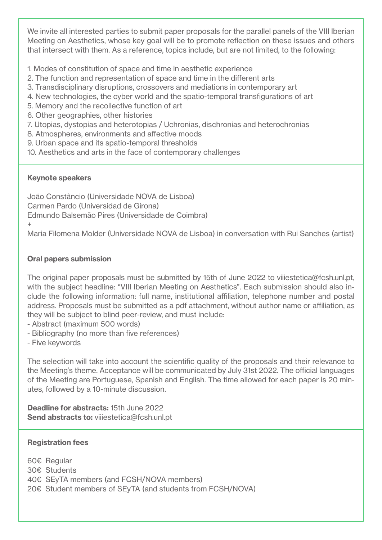We invite all interested parties to submit paper proposals for the parallel panels of the VIII Iberian Meeting on Aesthetics, whose key goal will be to promote reflection on these issues and others that intersect with them. As a reference, topics include, but are not limited, to the following:

1. Modes of constitution of space and time in aesthetic experience

- 2. The function and representation of space and time in the different arts
- 3. Transdisciplinary disruptions, crossovers and mediations in contemporary art
- 4. New technologies, the cyber world and the spatio-temporal transfigurations of art
- 5. Memory and the recollective function of art
- 6. Other geographies, other histories
- 7. Utopias, dystopias and heterotopias / Uchronias, dischronias and heterochronias
- 8. Atmospheres, environments and affective moods
- 9. Urban space and its spatio-temporal thresholds
- 10. Aesthetics and arts in the face of contemporary challenges

#### Keynote speakers

 $+$ 

João Constâncio (Universidade NOVA de Lisboa) Carmen Pardo (Universidad de Girona) Edmundo Balsemão Pires (Universidade de Coimbra)

Maria Filomena Molder (Universidade NOVA de Lisboa) in conversation with Rui Sanches (artist)

#### Oral papers submission

The original paper proposals must be submitted by 15th of June 2022 to viiiestetica@fcsh.unl.pt, with the subject headline: "VIII Iberian Meeting on Aesthetics". Each submission should also include the following information: full name, institutional affiliation, telephone number and postal address. Proposals must be submitted as a pdf attachment, without author name or affiliation, as they will be subject to blind peer-review, and must include:

- Abstract (maximum 500 words)
- Bibliography (no more than five references)
- Five keywords

The selection will take into account the scientific quality of the proposals and their relevance to the Meeting's theme. Acceptance will be communicated by July 31st 2022. The official languages of the Meeting are Portuguese, Spanish and English. The time allowed for each paper is 20 minutes, followed by a 10-minute discussion.

Deadline for abstracts: 15th June 2022 Send abstracts to: viiiestetica@fcsh.unl.pt

#### Registration fees

- 60€ Regular
- 30€ Students
- 40€ SEyTA members (and FCSH/NOVA members)
- 20€ Student members of SEyTA (and students from FCSH/NOVA)